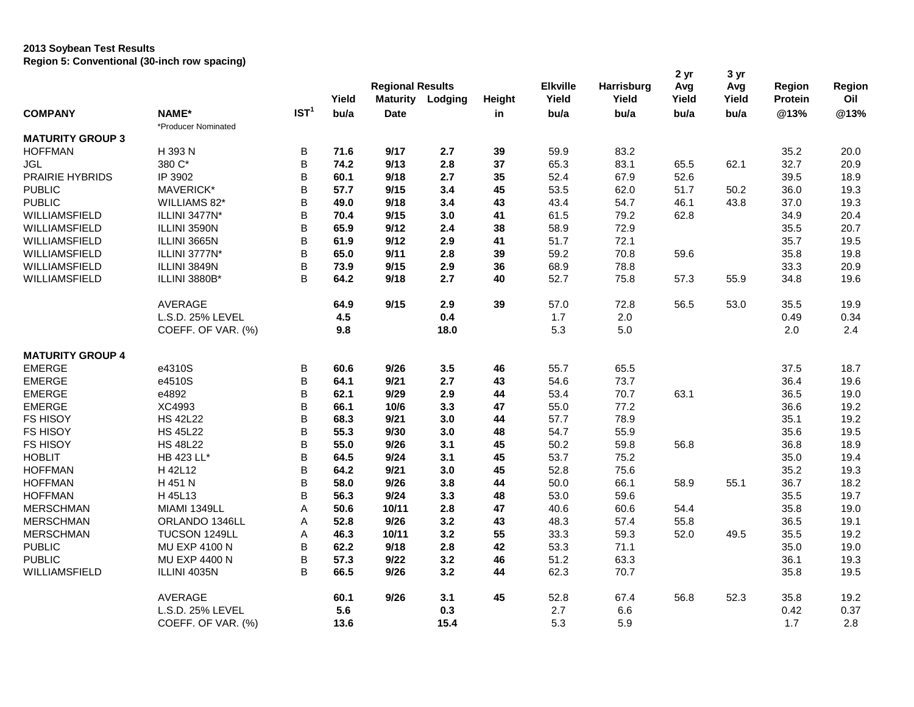## **2013 Soybean Test Results Region 5: Conventional (30-inch row spacing)**

|                                  |                      |                  | Yield        | <b>Regional Results</b><br>Maturity | Lodging    | Height | <b>Elkville</b><br>Yield | Harrisburg<br>Yield | 2 yr<br>Avg<br>Yield | 3 yr<br>Avg<br>Yield | Region<br>Protein | Region<br>Oil |
|----------------------------------|----------------------|------------------|--------------|-------------------------------------|------------|--------|--------------------------|---------------------|----------------------|----------------------|-------------------|---------------|
| <b>COMPANY</b>                   | NAME*                | IST <sup>1</sup> | bu/a         | <b>Date</b>                         |            | in     | bu/a                     | bu/a                | bu/a                 | bu/a                 | @13%              | @13%          |
|                                  | *Producer Nominated  |                  |              |                                     |            |        |                          |                     |                      |                      |                   |               |
| <b>MATURITY GROUP 3</b>          |                      |                  |              |                                     |            |        |                          |                     |                      |                      |                   |               |
| <b>HOFFMAN</b>                   | H 393 N<br>380 C*    | В<br>B           | 71.6<br>74.2 | 9/17<br>9/13                        | 2.7<br>2.8 | 39     | 59.9<br>65.3             | 83.2<br>83.1        |                      |                      | 35.2<br>32.7      | 20.0<br>20.9  |
| JGL                              |                      |                  |              |                                     |            | 37     |                          |                     | 65.5                 | 62.1                 |                   |               |
| PRAIRIE HYBRIDS<br><b>PUBLIC</b> | IP 3902<br>MAVERICK* | B<br>B           | 60.1<br>57.7 | 9/18<br>9/15                        | 2.7<br>3.4 | 35     | 52.4                     | 67.9                | 52.6<br>51.7         | 50.2                 | 39.5              | 18.9          |
|                                  |                      |                  |              | 9/18                                |            | 45     | 53.5                     | 62.0                |                      |                      | 36.0              | 19.3          |
| <b>PUBLIC</b>                    | WILLIAMS 82*         | B                | 49.0         |                                     | 3.4        | 43     | 43.4                     | 54.7                | 46.1                 | 43.8                 | 37.0              | 19.3          |
| <b>WILLIAMSFIELD</b>             | ILLINI 3477N*        | В                | 70.4         | 9/15                                | 3.0        | 41     | 61.5                     | 79.2                | 62.8                 |                      | 34.9              | 20.4          |
| <b>WILLIAMSFIELD</b>             | ILLINI 3590N         | B                | 65.9         | 9/12                                | 2.4        | 38     | 58.9                     | 72.9                |                      |                      | 35.5              | 20.7          |
| WILLIAMSFIELD                    | ILLINI 3665N         | B                | 61.9         | 9/12                                | 2.9        | 41     | 51.7                     | 72.1                |                      |                      | 35.7              | 19.5          |
| WILLIAMSFIELD                    | ILLINI 3777N*        | B                | 65.0         | 9/11                                | 2.8        | 39     | 59.2                     | 70.8                | 59.6                 |                      | 35.8              | 19.8          |
| WILLIAMSFIELD                    | ILLINI 3849N         | B                | 73.9         | 9/15                                | 2.9        | 36     | 68.9                     | 78.8                |                      |                      | 33.3              | 20.9          |
| <b>WILLIAMSFIELD</b>             | ILLINI 3880B*        | B                | 64.2         | 9/18                                | 2.7        | 40     | 52.7                     | 75.8                | 57.3                 | 55.9                 | 34.8              | 19.6          |
|                                  | <b>AVERAGE</b>       |                  | 64.9         | 9/15                                | 2.9        | 39     | 57.0                     | 72.8                | 56.5                 | 53.0                 | 35.5              | 19.9          |
|                                  | L.S.D. 25% LEVEL     |                  | 4.5          |                                     | 0.4        |        | 1.7                      | 2.0                 |                      |                      | 0.49              | 0.34          |
|                                  | COEFF. OF VAR. (%)   |                  | 9.8          |                                     | 18.0       |        | 5.3                      | 5.0                 |                      |                      | 2.0               | 2.4           |
| <b>MATURITY GROUP 4</b>          |                      |                  |              |                                     |            |        |                          |                     |                      |                      |                   |               |
| <b>EMERGE</b>                    | e4310S               | В                | 60.6         | 9/26                                | 3.5        | 46     | 55.7                     | 65.5                |                      |                      | 37.5              | 18.7          |
| <b>EMERGE</b>                    | e4510S               | В                | 64.1         | 9/21                                | 2.7        | 43     | 54.6                     | 73.7                |                      |                      | 36.4              | 19.6          |
| <b>EMERGE</b>                    | e4892                | B                | 62.1         | 9/29                                | 2.9        | 44     | 53.4                     | 70.7                | 63.1                 |                      | 36.5              | 19.0          |
| <b>EMERGE</b>                    | XC4993               | В                | 66.1         | 10/6                                | 3.3        | 47     | 55.0                     | 77.2                |                      |                      | 36.6              | 19.2          |
| <b>FS HISOY</b>                  | <b>HS 42L22</b>      | B                | 68.3         | 9/21                                | 3.0        | 44     | 57.7                     | 78.9                |                      |                      | 35.1              | 19.2          |
| FS HISOY                         | <b>HS 45L22</b>      | В                | 55.3         | 9/30                                | 3.0        | 48     | 54.7                     | 55.9                |                      |                      | 35.6              | 19.5          |
| FS HISOY                         | <b>HS 48L22</b>      | B                | 55.0         | 9/26                                | 3.1        | 45     | 50.2                     | 59.8                | 56.8                 |                      | 36.8              | 18.9          |
| <b>HOBLIT</b>                    | HB 423 LL*           | B                | 64.5         | 9/24                                | 3.1        | 45     | 53.7                     | 75.2                |                      |                      | 35.0              | 19.4          |
| <b>HOFFMAN</b>                   | H 42L12              | B                | 64.2         | 9/21                                | 3.0        | 45     | 52.8                     | 75.6                |                      |                      | 35.2              | 19.3          |
| <b>HOFFMAN</b>                   | H 451 N              | B                | 58.0         | 9/26                                | 3.8        | 44     | 50.0                     | 66.1                | 58.9                 | 55.1                 | 36.7              | 18.2          |
| <b>HOFFMAN</b>                   | H 45L13              | B                | 56.3         | 9/24                                | 3.3        | 48     | 53.0                     | 59.6                |                      |                      | 35.5              | 19.7          |
| <b>MERSCHMAN</b>                 | MIAMI 1349LL         | A                | 50.6         | 10/11                               | 2.8        | 47     | 40.6                     | 60.6                | 54.4                 |                      | 35.8              | 19.0          |
| <b>MERSCHMAN</b>                 | ORLANDO 1346LL       | A                | 52.8         | 9/26                                | 3.2        | 43     | 48.3                     | 57.4                | 55.8                 |                      | 36.5              | 19.1          |
| <b>MERSCHMAN</b>                 | TUCSON 1249LL        | Α                | 46.3         | 10/11                               | 3.2        | 55     | 33.3                     | 59.3                | 52.0                 | 49.5                 | 35.5              | 19.2          |
| <b>PUBLIC</b>                    | <b>MU EXP 4100 N</b> | В                | 62.2         | 9/18                                | 2.8        | 42     | 53.3                     | 71.1                |                      |                      | 35.0              | 19.0          |
| <b>PUBLIC</b>                    | MU EXP 4400 N        | B                | 57.3         | 9/22                                | 3.2        | 46     | 51.2                     | 63.3                |                      |                      | 36.1              | 19.3          |
| WILLIAMSFIELD                    | ILLINI 4035N         | B                | 66.5         | 9/26                                | 3.2        | 44     | 62.3                     | 70.7                |                      |                      | 35.8              | 19.5          |
|                                  | <b>AVERAGE</b>       |                  | 60.1         | 9/26                                | 3.1        | 45     | 52.8                     | 67.4                | 56.8                 | 52.3                 | 35.8              | 19.2          |
|                                  | L.S.D. 25% LEVEL     |                  | 5.6          |                                     | 0.3        |        | 2.7                      | 6.6                 |                      |                      | 0.42              | 0.37          |
|                                  | COEFF. OF VAR. (%)   |                  | 13.6         |                                     | 15.4       |        | 5.3                      | 5.9                 |                      |                      | 1.7               | 2.8           |